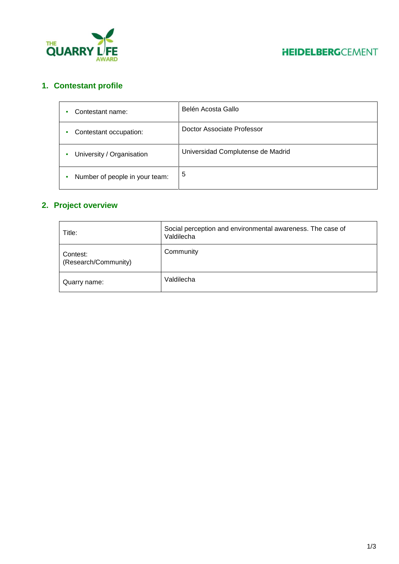



# **1. Contestant profile**

| Contestant name:               | Belén Acosta Gallo                |
|--------------------------------|-----------------------------------|
| Contestant occupation:         | Doctor Associate Professor        |
| University / Organisation      | Universidad Complutense de Madrid |
| Number of people in your team: | 5                                 |

# **2. Project overview**

| Title:                           | Social perception and environmental awareness. The case of<br>Valdilecha |
|----------------------------------|--------------------------------------------------------------------------|
| Contest:<br>(Research/Community) | Community                                                                |
| Quarry name:                     | Valdilecha                                                               |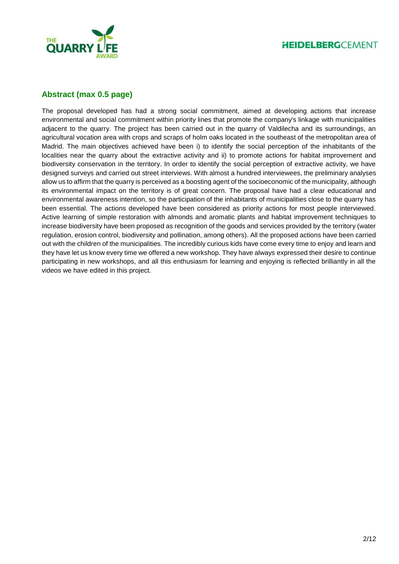

## **Abstract (max 0.5 page)**

The proposal developed has had a strong social commitment, aimed at developing actions that increase environmental and social commitment within priority lines that promote the company's linkage with municipalities adjacent to the quarry. The project has been carried out in the quarry of Valdilecha and its surroundings, an agricultural vocation area with crops and scraps of holm oaks located in the southeast of the metropolitan area of Madrid. The main objectives achieved have been i) to identify the social perception of the inhabitants of the localities near the quarry about the extractive activity and ii) to promote actions for habitat improvement and biodiversity conservation in the territory. In order to identify the social perception of extractive activity, we have designed surveys and carried out street interviews. With almost a hundred interviewees, the preliminary analyses allow us to affirm that the quarry is perceived as a boosting agent of the socioeconomic of the municipality, although its environmental impact on the territory is of great concern. The proposal have had a clear educational and environmental awareness intention, so the participation of the inhabitants of municipalities close to the quarry has been essential. The actions developed have been considered as priority actions for most people interviewed. Active learning of simple restoration with almonds and aromatic plants and habitat improvement techniques to increase biodiversity have been proposed as recognition of the goods and services provided by the territory (water regulation, erosion control, biodiversity and pollination, among others). All the proposed actions have been carried out with the children of the municipalities. The incredibly curious kids have come every time to enjoy and learn and they have let us know every time we offered a new workshop. They have always expressed their desire to continue participating in new workshops, and all this enthusiasm for learning and enjoying is reflected brilliantly in all the videos we have edited in this project.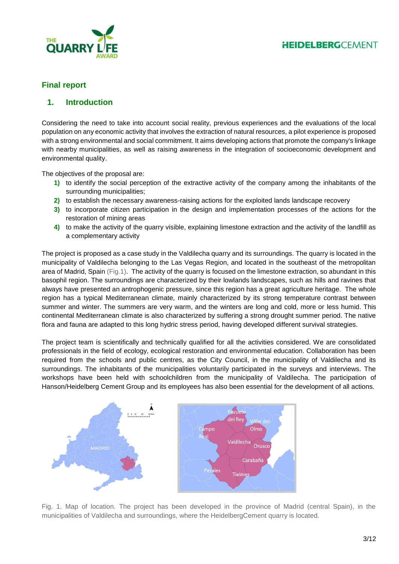

# **Final report**

### **1. Introduction**

Considering the need to take into account social reality, previous experiences and the evaluations of the local population on any economic activity that involves the extraction of natural resources, a pilot experience is proposed with a strong environmental and social commitment. It aims developing actions that promote the company's linkage with nearby municipalities, as well as raising awareness in the integration of socioeconomic development and environmental quality.

The objectives of the proposal are:

- **1)** to identify the social perception of the extractive activity of the company among the inhabitants of the surrounding municipalities;
- **2)** to establish the necessary awareness-raising actions for the exploited lands landscape recovery
- **3)** to incorporate citizen participation in the design and implementation processes of the actions for the restoration of mining areas
- **4)** to make the activity of the quarry visible, explaining limestone extraction and the activity of the landfill as a complementary activity

The project is proposed as a case study in the Valdilecha quarry and its surroundings. The quarry is located in the municipality of Valdilecha belonging to the Las Vegas Region, and located in the southeast of the metropolitan area of Madrid, Spain (Fig.1). The activity of the quarry is focused on the limestone extraction, so abundant in this basophil region. The surroundings are characterized by their lowlands landscapes, such as hills and ravines that always have presented an antrophogenic pressure, since this region has a great agriculture heritage. The whole region has a typical Mediterranean climate, mainly characterized by its strong temperature contrast between summer and winter. The summers are very warm, and the winters are long and cold, more or less humid. This continental Mediterranean climate is also characterized by suffering a strong drought summer period. The native flora and fauna are adapted to this long hydric stress period, having developed different survival strategies.

The project team is scientifically and technically qualified for all the activities considered. We are consolidated professionals in the field of ecology, ecological restoration and environmental education. Collaboration has been required from the schools and public centres, as the City Council, in the municipality of Valdilecha and its surroundings. The inhabitants of the municipalities voluntarily participated in the surveys and interviews. The workshops have been held with schoolchildren from the municipality of Valdilecha. The participation of Hanson/Heidelberg Cement Group and its employees has also been essential for the development of all actions.



Fig. 1. Map of location. The project has been developed in the province of Madrid (central Spain), in the municipalities of Valdilecha and surroundings, where the HeidelbergCement quarry is located.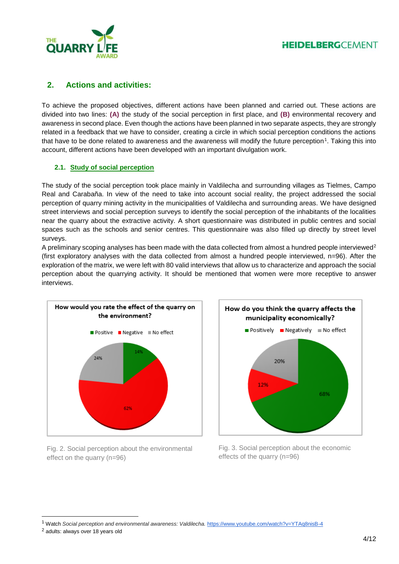

## **2. Actions and activities:**

To achieve the proposed objectives, different actions have been planned and carried out. These actions are divided into two lines: **(A)** the study of the social perception in first place, and **(B)** environmental recovery and awareness in second place. Even though the actions have been planned in two separate aspects, they are strongly related in a feedback that we have to consider, creating a circle in which social perception conditions the actions that have to be done related to awareness and the awareness will modify the future perception<sup>1</sup>. Taking this into account, different actions have been developed with an important divulgation work.

### **2.1. Study of social perception**

The study of the social perception took place mainly in Valdilecha and surrounding villages as Tielmes, Campo Real and Carabaña. In view of the need to take into account social reality, the project addressed the social perception of quarry mining activity in the municipalities of Valdilecha and surrounding areas. We have designed street interviews and social perception surveys to identify the social perception of the inhabitants of the localities near the quarry about the extractive activity. A short questionnaire was distributed in public centres and social spaces such as the schools and senior centres. This questionnaire was also filled up directly by street level surveys.

A preliminary scoping analyses has been made with the data collected from almost a hundred people interviewed<sup>2</sup> (first exploratory analyses with the data collected from almost a hundred people interviewed, n=96). After the exploration of the matrix, we were left with 80 valid interviews that allow us to characterize and approach the social perception about the quarrying activity. It should be mentioned that women were more receptive to answer interviews.



Fig. 2. Social perception about the environmental effect on the quarry (n=96)



Fig. 3. Social perception about the economic effects of the quarry (n=96)

l

<sup>1</sup> Watch Social perception and environmental awareness: Valdilecha. <https://www.youtube.com/watch?v=YTAq8nisB-4>

<sup>2</sup> adults: always over 18 years old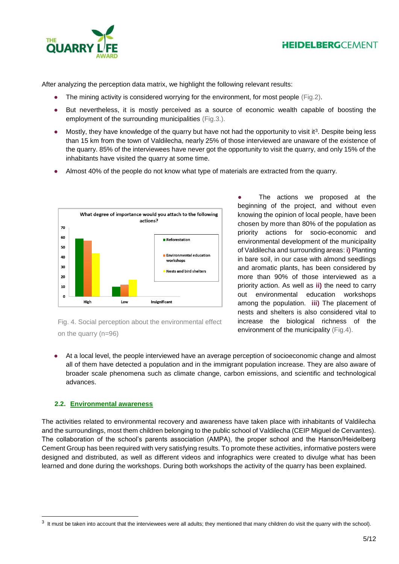



After analyzing the perception data matrix, we highlight the following relevant results:

- The mining activity is considered worrying for the environment, for most people (Fig.2).
- But nevertheless, it is mostly perceived as a source of economic wealth capable of boosting the employment of the surrounding municipalities (Fig.3.).
- Mostly, they have knowledge of the quarry but have not had the opportunity to visit it<sup>3</sup>. Despite being less than 15 km from the town of Valdilecha, nearly 25% of those interviewed are unaware of the existence of the quarry. 85% of the interviewees have never got the opportunity to visit the quarry, and only 15% of the inhabitants have visited the quarry at some time.
- Almost 40% of the people do not know what type of materials are extracted from the quarry.



Fig. 4. Social perception about the environmental effect on the quarry (n=96)

The actions we proposed at the beginning of the project, and without even knowing the opinion of local people, have been chosen by more than 80% of the population as priority actions for socio-economic and environmental development of the municipality of Valdilecha and surrounding areas: **i)** Planting in bare soil, in our case with almond seedlings and aromatic plants, has been considered by more than 90% of those interviewed as a priority action. As well as **ii)** the need to carry out environmental education workshops among the population. **iii)** The placement of nests and shelters is also considered vital to increase the biological richness of the environment of the municipality (Fig.4).

At a local level, the people interviewed have an average perception of socioeconomic change and almost all of them have detected a population and in the immigrant population increase. They are also aware of broader scale phenomena such as climate change, carbon emissions, and scientific and technological advances.

### **2.2. Environmental awareness**

l

The activities related to environmental recovery and awareness have taken place with inhabitants of Valdilecha and the surroundings, most them children belonging to the public school of Valdilecha (CEIP Miguel de Cervantes). The collaboration of the school's parents association (AMPA), the proper school and the Hanson/Heidelberg Cement Group has been required with very satisfying results. To promote these activities, informative posters were designed and distributed, as well as different videos and infographics were created to divulge what has been learned and done during the workshops. During both workshops the activity of the quarry has been explained.

 $3$  It must be taken into account that the interviewees were all adults; they mentioned that many children do visit the quarry with the school).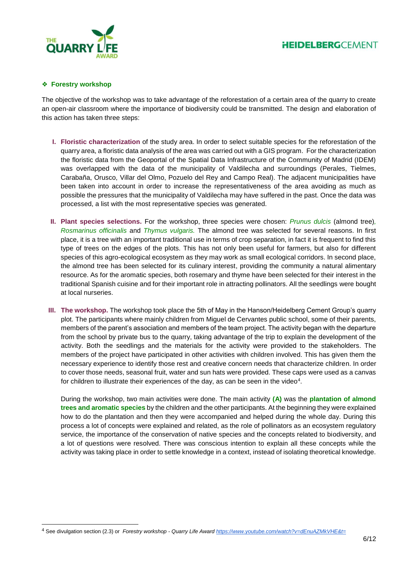



#### ❖ **Forestry workshop**

l

The objective of the workshop was to take advantage of the reforestation of a certain area of the quarry to create an open-air classroom where the importance of biodiversity could be transmitted. The design and elaboration of this action has taken three steps:

- **I. Floristic characterization** of the study area. In order to select suitable species for the reforestation of the quarry area, a floristic data analysis of the area was carried out with a GIS program. For the characterization the floristic data from the Geoportal of the Spatial Data Infrastructure of the Community of Madrid (IDEM) was overlapped with the data of the municipality of Valdilecha and surroundings (Perales, Tielmes, Carabaña, Orusco, Villar del Olmo, Pozuelo del Rey and Campo Real). The adjacent municipalities have been taken into account in order to increase the representativeness of the area avoiding as much as possible the pressures that the municipality of Valdilecha may have suffered in the past. Once the data was processed, a list with the most representative species was generated.
- **II. Plant species selections.** For the workshop, three species were chosen: *Prunus dulcis* (almond tree)*, Rosmarinus officinalis* and *Thymus vulgaris.* The almond tree was selected for several reasons. In first place, it is a tree with an important traditional use in terms of crop separation, in fact it is frequent to find this type of trees on the edges of the plots. This has not only been useful for farmers, but also for different species of this agro-ecological ecosystem as they may work as small ecological corridors. In second place, the almond tree has been selected for its culinary interest, providing the community a natural alimentary resource. As for the aromatic species, both rosemary and thyme have been selected for their interest in the traditional Spanish cuisine and for their important role in attracting pollinators. All the seedlings were bought at local nurseries.
- **III. The workshop.** The workshop took place the 5th of May in the Hanson/Heidelberg Cement Group's quarry plot. The participants where mainly children from Miguel de Cervantes public school, some of their parents, members of the parent's association and members of the team project. The activity began with the departure from the school by private bus to the quarry, taking advantage of the trip to explain the development of the activity. Both the seedlings and the materials for the activity were provided to the stakeholders. The members of the project have participated in other activities with children involved. This has given them the necessary experience to identify those rest and creative concern needs that characterize children. In order to cover those needs, seasonal fruit, water and sun hats were provided. These caps were used as a canvas for children to illustrate their experiences of the day, as can be seen in the video $4$ .

During the workshop, two main activities were done. The main activity **(A)** was the **plantation of almond trees and aromatic species** by the children and the other participants. At the beginning they were explained how to do the plantation and then they were accompanied and helped during the whole day. During this process a lot of concepts were explained and related, as the role of pollinators as an ecosystem regulatory service, the importance of the conservation of native species and the concepts related to biodiversity, and a lot of questions were resolved. There was conscious intention to explain all these concepts while the activity was taking place in order to settle knowledge in a context, instead of isolating theoretical knowledge.

<sup>4</sup> See divulgation section (2.3) or *Forestry workshop - Quarry Life Awar[d https://www.youtube.com/watch?v=dEnuAZMkVHE&t=](https://www.youtube.com/watch?v=dEnuAZMkVHE&t=)*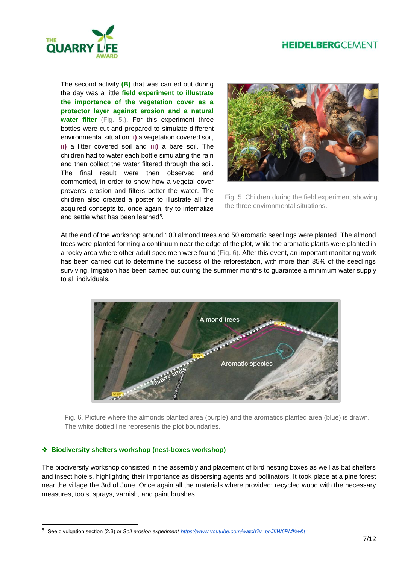

The second activity **(B)** that was carried out during the day was a little **field experiment to illustrate the importance of the vegetation cover as a protector layer against erosion and a natural**  water filter (Fig. 5.). For this experiment three bottles were cut and prepared to simulate different environmental situation: **i)** a vegetation covered soil, **ii)** a litter covered soil and **iii)** a bare soil. The children had to water each bottle simulating the rain and then collect the water filtered through the soil. The final result were then observed and commented, in order to show how a vegetal cover prevents erosion and filters better the water. The children also created a poster to illustrate all the acquired concepts to, once again, try to internalize and settle what has been learned<sup>5</sup>.



Fig. 5. Children during the field experiment showing the three environmental situations.

At the end of the workshop around 100 almond trees and 50 aromatic seedlings were planted. The almond trees were planted forming a continuum near the edge of the plot, while the aromatic plants were planted in a rocky area where other adult specimen were found (Fig. 6). After this event, an important monitoring work has been carried out to determine the success of the reforestation, with more than 85% of the seedlings surviving. Irrigation has been carried out during the summer months to guarantee a minimum water supply to all individuals.



Fig. 6. Picture where the almonds planted area (purple) and the aromatics planted area (blue) is drawn. The white dotted line represents the plot boundaries.

#### ❖ **Biodiversity shelters workshop (nest-boxes workshop)**

l

The biodiversity workshop consisted in the assembly and placement of bird nesting boxes as well as bat shelters and insect hotels, highlighting their importance as dispersing agents and pollinators. It took place at a pine forest near the village the 3rd of June. Once again all the materials where provided: recycled wood with the necessary measures, tools, sprays, varnish, and paint brushes.

<sup>5</sup> See divulgation section (2.3) or *Soil erosion experiment <https://www.youtube.com/watch?v=phJfIW6PMKw&t=>*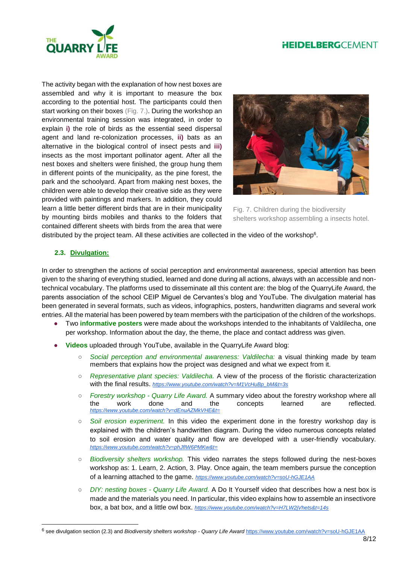# **HEIDELBERGCEMENT**



The activity began with the explanation of how nest boxes are assembled and why it is important to measure the box according to the potential host. The participants could then start working on their boxes (Fig. 7.). During the workshop an environmental training session was integrated, in order to explain **i)** the role of birds as the essential seed dispersal agent and land re-colonization processes, **ii)** bats as an alternative in the biological control of insect pests and **iii)**  insects as the most important pollinator agent. After all the nest boxes and shelters were finished, the group hung them in different points of the municipality, as the pine forest, the park and the schoolyard. Apart from making nest boxes, the children were able to develop their creative side as they were provided with paintings and markers. In addition, they could learn a little better different birds that are in their municipality by mounting birds mobiles and thanks to the folders that contained different sheets with birds from the area that were



Fig. 7. Children during the biodiversity shelters workshop assembling a insects hotel.

distributed by the project team. All these activities are collected in the video of the workshop<sup>6</sup>.

#### **2.3. Divulgation:**

l

In order to strengthen the actions of social perception and environmental awareness, special attention has been given to the sharing of everything studied, learned and done during all actions, always with an accessible and nontechnical vocabulary. The platforms used to disseminate all this content are: the blog of the QuarryLife Award, the parents association of the school CEIP Miguel de Cervantes's blog and YouTube. The divulgation material has been generated in several formats, such as videos, infographics, posters, handwritten diagrams and several work entries. All the material has been powered by team members with the participation of the children of the workshops.

- Two **informative posters** were made about the workshops intended to the inhabitants of Valdilecha, one per workshop. Information about the day, the theme, the place and contact address was given.
- **Videos** uploaded through YouTube, available in the QuarryLife Award blog:
	- *Social perception and environmental awareness: Valdilecha:* a visual thinking made by team members that explains how the project was designed and what we expect from it.
	- *Representative plant species: Valdilecha.* A view of the process of the floristic characterization with the final results. *[https://www.youtube.com/watch?v=M1VcHuBp\\_bM&t=3s](https://www.youtube.com/watch?v=M1VcHuBp_bM&t=3s)*
	- *Forestry workshop - Quarry Life Award.* A summary video about the forestry workshop where all the work done and the concepts learned are reflected. *<https://www.youtube.com/watch?v=dEnuAZMkVHE&t=>*
	- *Soil erosion experiment.* In this video the experiment done in the forestry workshop day is explained with the children's handwritten diagram. During the video numerous concepts related to soil erosion and water quality and flow are developed with a user-friendly vocabulary. *<https://www.youtube.com/watch?v=phJfIW6PMKw&t=>*
	- *Biodiversity shelters workshop.* This video narrates the steps followed during the nest-boxes workshop as: 1. Learn, 2. Action, 3. Play. Once again, the team members pursue the conception of a learning attached to the game. *<https://www.youtube.com/watch?v=soU-hGJE1AA>*
	- *DIY: nesting boxes - Quarry Life Award.* A Do It Yourself video that describes how a nest box is made and the materials you need. In particular, this video explains how to assemble an insectivore box, a bat box, and a little owl box. *<https://www.youtube.com/watch?v=H7LW2jVhets&t=14s>*

<sup>6</sup> see divulgation section (2.3) and *Biodiversity shelters workshop - Quarry Life Award* <https://www.youtube.com/watch?v=soU-hGJE1AA>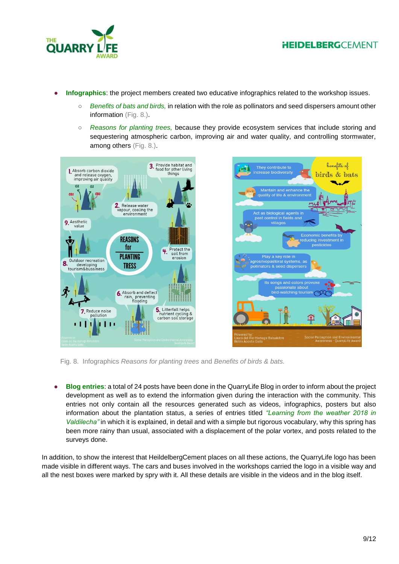



- **Infographics**: the project members created two educative infographics related to the workshop issues.
	- *Benefits of bats and birds,* in relation with the role as pollinators and seed dispersers amount other information (Fig. 8.).
	- *Reasons for planting trees,* because they provide ecosystem services that include storing and sequestering atmospheric carbon, improving air and water quality, and controlling stormwater, among others (Fig. 8.).



Fig. 8. Infographics *Reasons for planting trees* and *Benefits of birds & bats.*

● **Blog entries**: a total of 24 posts have been done in the QuarryLife Blog in order to inform about the project development as well as to extend the information given during the interaction with the community. This entries not only contain all the resources generated such as videos, infographics, posters but also information about the plantation status, a series of entries titled *"Learning from the weather 2018 in Valdilecha"* in which it is explained, in detail and with a simple but rigorous vocabulary, why this spring has been more rainy than usual, associated with a displacement of the polar vortex, and posts related to the surveys done.

In addition, to show the interest that HeildelbergCement places on all these actions, the QuarryLife logo has been made visible in different ways. The cars and buses involved in the workshops carried the logo in a visible way and all the nest boxes were marked by spry with it. All these details are visible in the videos and in the blog itself.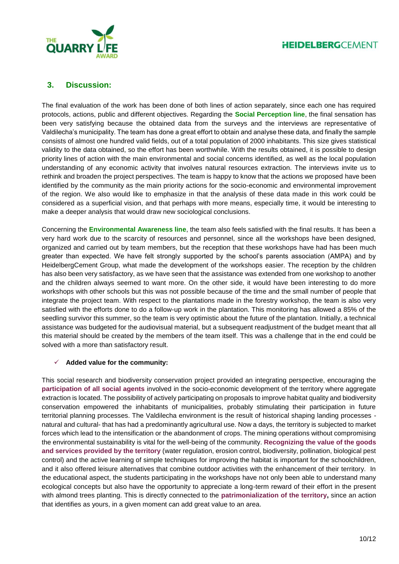

### **3. Discussion:**

The final evaluation of the work has been done of both lines of action separately, since each one has required protocols, actions, public and different objectives. Regarding the **Social Perception line**, the final sensation has been very satisfying because the obtained data from the surveys and the interviews are representative of Valdilecha's municipality. The team has done a great effort to obtain and analyse these data, and finally the sample consists of almost one hundred valid fields, out of a total population of 2000 inhabitants. This size gives statistical validity to the data obtained, so the effort has been worthwhile. With the results obtained, it is possible to design priority lines of action with the main environmental and social concerns identified, as well as the local population understanding of any economic activity that involves natural resources extraction. The interviews invite us to rethink and broaden the project perspectives. The team is happy to know that the actions we proposed have been identified by the community as the main priority actions for the socio-economic and environmental improvement of the region. We also would like to emphasize in that the analysis of these data made in this work could be considered as a superficial vision, and that perhaps with more means, especially time, it would be interesting to make a deeper analysis that would draw new sociological conclusions.

Concerning the **Environmental Awareness line**, the team also feels satisfied with the final results. It has been a very hard work due to the scarcity of resources and personnel, since all the workshops have been designed, organized and carried out by team members, but the reception that these workshops have had has been much greater than expected. We have felt strongly supported by the school's parents association (AMPA) and by HeidelbergCement Group, what made the development of the workshops easier. The reception by the children has also been very satisfactory, as we have seen that the assistance was extended from one workshop to another and the children always seemed to want more. On the other side, it would have been interesting to do more workshops with other schools but this was not possible because of the time and the small number of people that integrate the project team. With respect to the plantations made in the forestry workshop, the team is also very satisfied with the efforts done to do a follow-up work in the plantation. This monitoring has allowed a 85% of the seedling survivor this summer, so the team is very optimistic about the future of the plantation. Initially, a technical assistance was budgeted for the audiovisual material, but a subsequent readjustment of the budget meant that all this material should be created by the members of the team itself. This was a challenge that in the end could be solved with a more than satisfactory result.

#### **Added value for the community:**

This social research and biodiversity conservation project provided an integrating perspective, encouraging the **participation of all social agents** involved in the socio-economic development of the territory where aggregate extraction is located. The possibility of actively participating on proposals to improve habitat quality and biodiversity conservation empowered the inhabitants of municipalities, probably stimulating their participation in future territorial planning processes. The Valdilecha environment is the result of historical shaping landing processes natural and cultural- that has had a predominantly agricultural use. Now a days, the territory is subjected to market forces which lead to the intensification or the abandonment of crops. The mining operations without compromising the environmental sustainability is vital for the well-being of the community. **Recognizing the value of the goods and services provided by the territory** (water regulation, erosion control, biodiversity, pollination, biological pest control) and the active learning of simple techniques for improving the habitat is important for the schoolchildren, and it also offered leisure alternatives that combine outdoor activities with the enhancement of their territory. In the educational aspect, the students participating in the workshops have not only been able to understand many ecological concepts but also have the opportunity to appreciate a long-term reward of their effort in the present with almond trees planting. This is directly connected to the **patrimonialization of the territory,** since an action that identifies as yours, in a given moment can add great value to an area.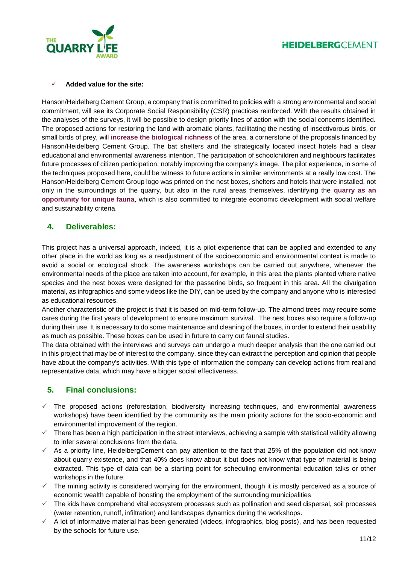



#### **Added value for the site:**

Hanson/Heidelberg Cement Group, a company that is committed to policies with a strong environmental and social commitment, will see its Corporate Social Responsibility (CSR) practices reinforced. With the results obtained in the analyses of the surveys, it will be possible to design priority lines of action with the social concerns identified. The proposed actions for restoring the land with aromatic plants, facilitating the nesting of insectivorous birds, or small birds of prey, will **increase the biological richness** of the area, a cornerstone of the proposals financed by Hanson/Heidelberg Cement Group. The bat shelters and the strategically located insect hotels had a clear educational and environmental awareness intention. The participation of schoolchildren and neighbours facilitates future processes of citizen participation, notably improving the company's image. The pilot experience, in some of the techniques proposed here, could be witness to future actions in similar environments at a really low cost. The Hanson/Heidelberg Cement Group logo was printed on the nest boxes, shelters and hotels that were installed, not only in the surroundings of the quarry, but also in the rural areas themselves, identifying the **quarry as an opportunity for unique fauna**, which is also committed to integrate economic development with social welfare and sustainability criteria.

### **4. Deliverables:**

This project has a universal approach, indeed, it is a pilot experience that can be applied and extended to any other place in the world as long as a readjustment of the socioeconomic and environmental context is made to avoid a social or ecological shock. The awareness workshops can be carried out anywhere, whenever the environmental needs of the place are taken into account, for example, in this area the plants planted where native species and the nest boxes were designed for the passerine birds, so frequent in this area. All the divulgation material, as infographics and some videos like the DIY, can be used by the company and anyone who is interested as educational resources.

Another characteristic of the project is that it is based on mid-term follow-up. The almond trees may require some cares during the first years of development to ensure maximum survival. The nest boxes also require a follow-up during their use. It is necessary to do some maintenance and cleaning of the boxes, in order to extend their usability as much as possible. These boxes can be used in future to carry out faunal studies.

The data obtained with the interviews and surveys can undergo a much deeper analysis than the one carried out in this project that may be of interest to the company, since they can extract the perception and opinion that people have about the company's activities. With this type of information the company can develop actions from real and representative data, which may have a bigger social effectiveness.

# **5. Final conclusions:**

- $\checkmark$  The proposed actions (reforestation, biodiversity increasing techniques, and environmental awareness workshops) have been identified by the community as the main priority actions for the socio-economic and environmental improvement of the region.
- $\checkmark$  There has been a high participation in the street interviews, achieving a sample with statistical validity allowing to infer several conclusions from the data.
- $\checkmark$  As a priority line, HeidelbergCement can pay attention to the fact that 25% of the population did not know about quarry existence, and that 40% does know about it but does not know what type of material is being extracted. This type of data can be a starting point for scheduling environmental education talks or other workshops in the future.
- $\checkmark$  The mining activity is considered worrying for the environment, though it is mostly perceived as a source of economic wealth capable of boosting the employment of the surrounding municipalities
- $\checkmark$  The kids have comprehend vital ecosystem processes such as pollination and seed dispersal, soil processes (water retention, runoff, infiltration) and landscapes dynamics during the workshops.
- $\checkmark$  A lot of informative material has been generated (videos, infographics, blog posts), and has been requested by the schools for future use.